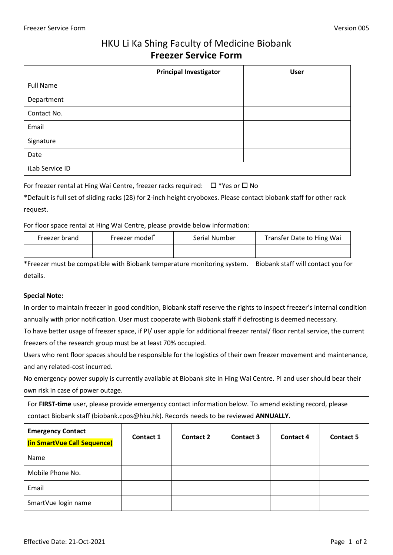## HKU Li Ka Shing Faculty of Medicine Biobank **Freezer Service Form**

|                  | <b>Principal Investigator</b> | <b>User</b> |
|------------------|-------------------------------|-------------|
| <b>Full Name</b> |                               |             |
| Department       |                               |             |
| Contact No.      |                               |             |
| Email            |                               |             |
| Signature        |                               |             |
| Date             |                               |             |
| iLab Service ID  |                               |             |

For freezer rental at Hing Wai Centre, freezer racks required:  $\Box$  \*Yes or  $\Box$  No

\*Default is full set of sliding racks (28) for 2-inch height cryoboxes. Please contact biobank staff for other rack request.

For floor space rental at Hing Wai Centre, please provide below information:

| Freezer brand | Freezer model | Serial Number | Transfer Date to Hing Wai |
|---------------|---------------|---------------|---------------------------|
|               |               |               |                           |

\*Freezer must be compatible with Biobank temperature monitoring system. Biobank staff will contact you for details.

## **Special Note:**

In order to maintain freezer in good condition, Biobank staff reserve the rights to inspect freezer's internal condition annually with prior notification. User must cooperate with Biobank staff if defrosting is deemed necessary.

To have better usage of freezer space, if PI/ user apple for additional freezer rental/ floor rental service, the current freezers of the research group must be at least 70% occupied.

Users who rent floor spaces should be responsible for the logistics of their own freezer movement and maintenance, and any related-cost incurred.

No emergency power supply is currently available at Biobank site in Hing Wai Centre. PI and user should bear their own risk in case of power outage.

For **FIRST-time** user, please provide emergency contact information below. To amend existing record, please contact Biobank staff (biobank.cpos@hku.hk). Records needs to be reviewed **ANNUALLY.**

| <b>Emergency Contact</b><br>(in SmartVue Call Sequence) | Contact 1 | <b>Contact 2</b> | <b>Contact 3</b> | <b>Contact 4</b> | <b>Contact 5</b> |
|---------------------------------------------------------|-----------|------------------|------------------|------------------|------------------|
| Name                                                    |           |                  |                  |                  |                  |
| Mobile Phone No.                                        |           |                  |                  |                  |                  |
| Email                                                   |           |                  |                  |                  |                  |
| SmartVue login name                                     |           |                  |                  |                  |                  |